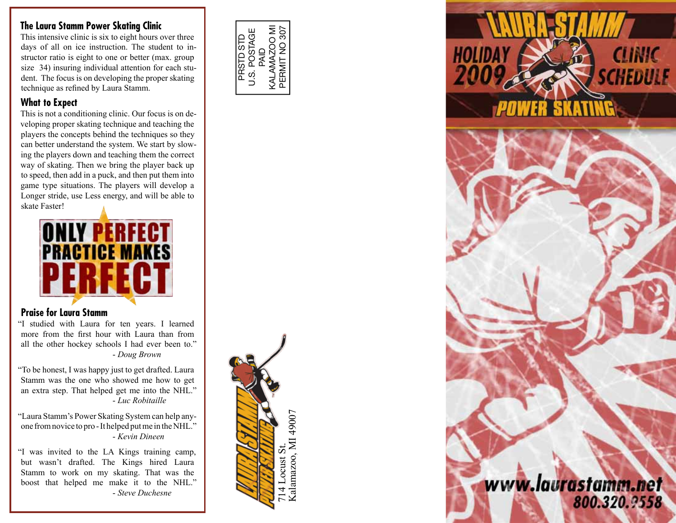#### **The Laura Stamm Power Skating Clinic**

This intensive clinic is six to eight hours over three days of all on ice instruction. The student to instructor ratio is eight to one or better (max. group size 34) insuring individual attention for each student. The focus is on developing the proper skating technique as refined by Laura Stamm.

### **What to Expect**

This is not a conditioning clinic. Our focus is on developing proper skating technique and teaching the players the concepts behind the techniques so they can better understand the system. We start by slowing the players down and teaching them the correct way of skating. Then we bring the player back up to speed, then add in a puck, and then put them into game type situations. The players will develop a Longer stride, use Less energy, and will be able to skate Faster!



## **Praise for Laura Stamm**

"I studied with Laura for ten years. I learned more from the first hour with Laura than from all the other hockey schools I had ever been to." - *Doug Brown*

"To be honest, I was happy just to get drafted. Laura Stamm was the one who showed me how to get an extra step. That helped get me into the NHL." - *Luc Robitaille*

"Laura Stamm's Power Skating System can help anyone from novice to pro - It helped put me in the NHL." - *Kevin Dineen*

"I was invited to the LA Kings training camp, but wasn't drafted. The Kings hired Laura Stamm to work on my skating. That was the boost that helped me make it to the NHL." - *Steve Duchesne*